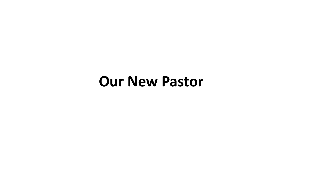# **Our New Pastor**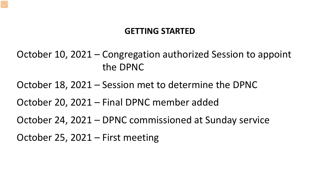#### **GETTING STARTED**

October 10, 2021 – Congregation authorized Session to appoint the DPNC

October 18, 2021 – Session met to determine the DPNC

October 20, 2021 – Final DPNC member added

October 24, 2021 – DPNC commissioned at Sunday service

October 25, 2021 – First meeting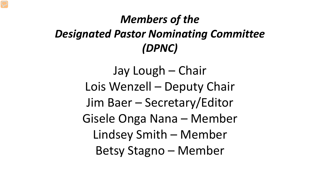## *Members of the Designated Pastor Nominating Committee (DPNC)*

Jay Lough – Chair Lois Wenzell – Deputy Chair Jim Baer – Secretary/Editor Gisele Onga Nana – Member Lindsey Smith – Member Betsy Stagno – Member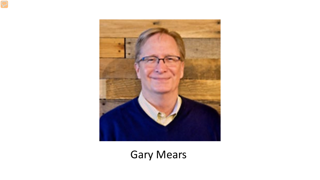

Gary Mears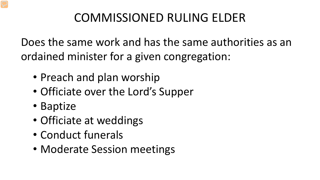## COMMISSIONED RULING ELDER

Does the same work and has the same authorities as an ordained minister for a given congregation:

- Preach and plan worship
- Officiate over the Lord's Supper
- Baptize
- Officiate at weddings
- Conduct funerals
- Moderate Session meetings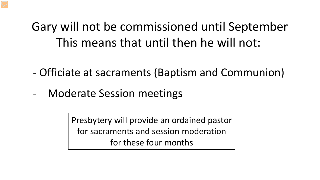# Gary will not be commissioned until September This means that until then he will not:

- Officiate at sacraments (Baptism and Communion)
- Moderate Session meetings

Presbytery will provide an ordained pastor for sacraments and session moderation for these four months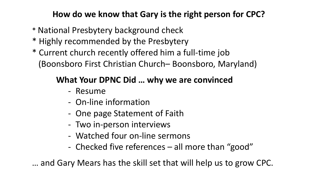### **How do we know that Gary is the right person for CPC?**

- \* National Presbytery background check
- \* Highly recommended by the Presbytery
- \* Current church recently offered him a full-time job (Boonsboro First Christian Church– Boonsboro, Maryland)

### **What Your DPNC Did … why we are convinced**

- Resume
- On-line information
- One page Statement of Faith
- Two in-person interviews
- Watched four on-line sermons
- Checked five references all more than "good"

… and Gary Mears has the skill set that will help us to grow CPC.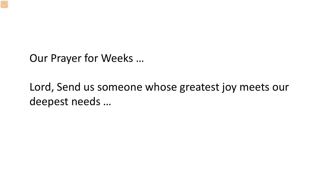Our Prayer for Weeks …

Lord, Send us someone whose greatest joy meets our deepest needs …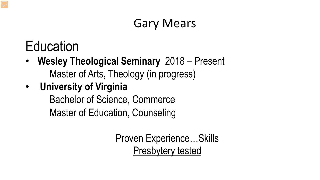# Gary Mears

# Education

- **Wesley Theological Seminary** 2018 Present Master of Arts, Theology (in progress)
- **University of Virginia**

Bachelor of Science, Commerce

Master of Education, Counseling

Proven Experience…Skills Presbytery tested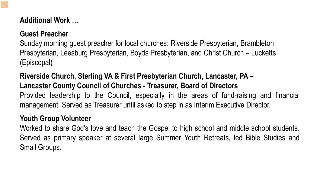#### **Additional Work …**

### **Guest Preacher**

Sunday morning guest preacher for local churches: Riverside Presbyterian, Brambleton Presbyterian, Leesburg Presbyterian, Boyds Presbyterian, and Christ Church – Lucketts (Episcopal)

#### **Riverside Church, Sterling VA & First Presbyterian Church, Lancaster, PA – Lancaster County Council of Churches - Treasurer, Board of Directors**

Provided leadership to the Council, especially in the areas of fund-raising and financial management. Served as Treasurer until asked to step in as Interim Executive Director.

#### **Youth Group Volunteer**

Worked to share God's love and teach the Gospel to high school and middle school students. Served as primary speaker at several large Summer Youth Retreats, led Bible Studies and Small Groups.